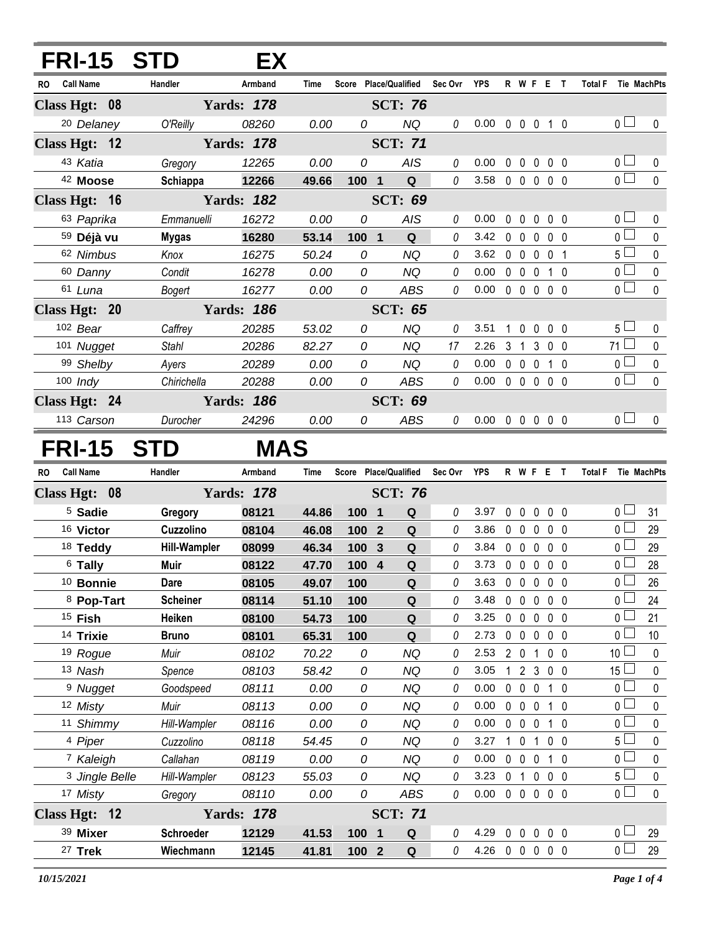| <b>FRI-15</b>                         | <b>STD</b>              | EX.               |                |                |                                   |             |                            |             |                   |                |                         |           |                     |                                  |                |
|---------------------------------------|-------------------------|-------------------|----------------|----------------|-----------------------------------|-------------|----------------------------|-------------|-------------------|----------------|-------------------------|-----------|---------------------|----------------------------------|----------------|
| <b>Call Name</b><br>RO.               | Handler                 | Armband           | Time           |                | Score Place/Qualified Sec Ovr YPS |             |                            |             |                   |                |                         | R W F E T | Total F Tie MachPts |                                  |                |
| Class Hgt: 08                         |                         | <b>Yards: 178</b> |                |                | <b>SCT: 76</b>                    |             |                            |             |                   |                |                         |           |                     |                                  |                |
| <sup>20</sup> Delaney                 | O'Reilly                | 08260             | 0.00           | 0              | <b>NQ</b>                         | $\theta$    | 0.00                       |             |                   |                | 0 0 0 1 0               |           |                     | 0 <sub>l</sub>                   | 0              |
| Class Hgt: 12                         |                         | <b>Yards: 178</b> |                |                | <b>SCT: 71</b>                    |             |                            |             |                   |                |                         |           |                     |                                  |                |
| 43 Katia                              | Gregory                 | 12265             | 0.00           | 0              | AIS                               | $\it{0}$    | 0.00                       | $\mathbf 0$ | $\mathbf 0$       | $\pmb{0}$      | 0 <sub>0</sub>          |           |                     | 0 <sub>0</sub>                   | $\pmb{0}$      |
| 42 Moose                              | Schiappa                | 12266             | 49.66          | 100 1          | $\mathbf Q$                       | $\theta$    | 3.58                       |             |                   |                | 00000                   |           |                     | $\overline{0}$                   | $\mathbf 0$    |
| Class Hgt: 16                         |                         | <b>Yards: 182</b> |                |                | <b>SCT: 69</b>                    |             |                            |             |                   |                |                         |           |                     |                                  |                |
| 63 Paprika                            | Emmanuelli              | 16272             | 0.00           | 0              | <b>AIS</b>                        | 0           | 0.00                       | $\mathbf 0$ | $\mathbf 0$       | 0              | 0 <sub>0</sub>          |           |                     | 0 <sub>0</sub>                   | 0              |
| 59 Déjà vu                            | <b>Mygas</b>            | 16280             | 53.14          | $100 \quad 1$  | Q                                 | 0           | 3.42                       |             | $0\quad 0$        | $\mathbf 0$    | 0 <sub>0</sub>          |           |                     | $\overline{0}$                   | $\pmb{0}$      |
| 62 Nimbus                             | Knox                    | 16275             | 50.24          | 0              | <b>NQ</b>                         | 0           | 3.62                       |             | $0\quad 0$        | $\mathbf 0$    | 0 <sub>1</sub>          |           |                     | 5 <sub>1</sub>                   | $\mathbf 0$    |
| 60 Danny                              | Condit                  | 16278             | 0.00           | 0              | <b>NQ</b>                         | 0           | 0.00                       |             | $0\quad 0$        | $\mathbf 0$    | $1\quad0$               |           |                     | $\overline{0}$                   | $\pmb{0}$      |
| 61 Luna                               | Bogert                  | 16277             | 0.00           | 0              | <b>ABS</b>                        | 0           | 0.00                       |             | $0\quad 0$        | $\mathbf{0}$   | 0 <sub>0</sub>          |           |                     | $\overline{0}$                   | $\mathbf 0$    |
| Class Hgt: 20                         |                         | <b>Yards: 186</b> |                |                | <b>SCT: 65</b>                    |             |                            |             |                   |                |                         |           |                     |                                  |                |
| 102 Bear                              | Caffrey                 | 20285             | 53.02          | 0              | <b>NQ</b>                         | 0           | 3.51                       | $\mathbf 1$ | $\mathbf 0$       | $\mathbf 0$    | 0 <sub>0</sub>          |           |                     | 5 <sub>1</sub>                   | 0              |
| 101 Nugget                            | <b>Stahl</b>            | 20286             | 82.27          | 0              | <b>NQ</b>                         | 17          | 2.26                       |             | 3 <sub>1</sub>    | $\mathfrak{Z}$ | 0 <sub>0</sub>          |           |                     | $71 \Box$                        | $\pmb{0}$      |
| 99 Shelby                             | Ayers                   | 20289             | 0.00           | 0              | <b>NQ</b>                         | 0           | 0.00                       |             | $0\quad 0\quad 0$ |                | $1\quad0$               |           |                     | 0 <sup>1</sup>                   | $\pmb{0}$      |
| $100$ Indy                            | Chirichella             | 20288             | 0.00           | 0              | ABS                               | $\it{0}$    | 0.00                       |             | $0\quad 0\quad 0$ |                | 0 <sub>0</sub>          |           |                     | $\overline{0}$                   | $\pmb{0}$      |
| Class Hgt: 24                         |                         | <b>Yards: 186</b> |                |                | <b>SCT: 69</b>                    |             |                            |             |                   |                |                         |           |                     |                                  |                |
| 113 Carson                            | Durocher                | 24296             | 0.00           | 0              | <b>ABS</b>                        | $\theta$    | $0.00 \t0 \t0 \t0 \t0 \t0$ |             |                   |                |                         |           |                     | 0 <sub>l</sub>                   | 0              |
| <b>FRI-15</b>                         | <b>STD</b>              | <b>MAS</b>        |                |                |                                   |             |                            |             |                   |                |                         |           |                     |                                  |                |
| <b>Call Name</b><br><b>RO</b>         | Handler                 | Armband           | Time           |                | Score Place/Qualified             | Sec Ovr YPS |                            |             |                   |                | <b>R W F E T</b>        |           | Total F Tie MachPts |                                  |                |
| Class Hgt: 08                         |                         | <b>Yards: 178</b> |                |                | <b>SCT: 76</b>                    |             |                            |             |                   |                |                         |           |                     |                                  |                |
| <sup>5</sup> Sadie                    | Gregory                 | 08121             | 44.86          | 100 1          | Q                                 | 0           | 3.97                       | 0           | $\mathbf 0$       | $\pmb{0}$      | $0\quad 0$              |           |                     | 0 <sub>1</sub>                   | 31             |
| 16 Victor                             | Cuzzolino               | 08104             | 46.08          | 100            | Q<br>$\overline{2}$               | 0           | 3.86                       |             | $0\quad 0$        | $\mathbf 0$    | 0 <sub>0</sub>          |           |                     | 0 <sub>0</sub>                   | 29             |
| 18 Teddy                              | <b>Hill-Wampler</b>     | 08099             | 46.34          | 100            | $\mathbf{3}$<br>Q                 | 0           | 3.84                       | $\mathbf 0$ | $\mathbf 0$       | $\Omega$       | 0 <sub>0</sub>          |           |                     | 0 <sub>0</sub>                   | 29             |
| <sup>6</sup> Tally                    | Muir                    | 08122             | 47.70          | 100            | $\overline{4}$<br>Q               | 0           | 3.73                       |             | $0\quad 0$        | $\mathbf 0$    | $0\quad 0$              |           |                     | 0 <sub>0</sub>                   | 28             |
| 10 Bonnie                             | Dare                    | 08105             | 49.07          | 100            | Q                                 | 0           | 3.63                       | $\mathbf 0$ | $\mathbf 0$       | $\pmb{0}$      | 0 <sub>0</sub>          |           |                     | $\overline{0}$ $\Box$            | 26             |
| 8 Pop-Tart                            | <b>Scheiner</b>         | 08114             | 51.10          | 100            | Q                                 | 0           | 3.48                       |             | $0\quad 0$        | 0              | 0 <sub>0</sub>          |           |                     | $_0$ $\Box$                      | 24             |
| <sup>15</sup> Fish                    | Heiken                  | 08100             | 54.73          | 100            | $\mathbf Q$                       | 0           | 3.25                       |             | $0\quad 0$        | $\mathbf 0$    | 0 <sub>0</sub>          |           |                     | 0 <sup>1</sup>                   | 21             |
| 14 Trixie                             | <b>Bruno</b>            | 08101             | 65.31          | 100            | $\mathbf Q$                       | 0           | 2.73                       |             | $0\quad 0$        | $\mathbf 0$    | 0 <sub>0</sub>          |           |                     | 0 <sub>0</sub>                   | 10             |
| <sup>19</sup> Rogue                   | Muir                    | 08102             | 70.22          | 0              | <b>NQ</b>                         | 0           | 2.53                       |             | $2\quad0$         | 1              | $0\quad 0$              |           |                     | 10 <sup>1</sup>                  | 0              |
| 13 Nash                               | Spence                  | 08103             | 58.42          | 0              | <b>NQ</b>                         | 0           | 3.05                       | 1           |                   | 2 <sub>3</sub> | 0 <sub>0</sub>          |           |                     | $15\perp$                        | 0              |
| <sup>9</sup> Nugget                   | Goodspeed               | 08111             | 0.00           | 0              | <b>NQ</b>                         | 0           | 0.00                       | $\mathbf 0$ | $\mathbf 0$       | $\mathbf 0$    | $1\quad0$               |           |                     | $\overline{0}$                   | $\pmb{0}$      |
| 12 Misty                              | Muir                    | 08113             | 0.00           | 0              | <b>NQ</b>                         | 0           | 0.00                       |             | $0\quad 0$        | $\mathbf 0$    | $1\quad0$               |           |                     | 0 <sup>1</sup>                   | 0              |
| 11 Shimmy                             | Hill-Wampler            | 08116             | 0.00           | 0              | <b>NQ</b>                         | 0           | 0.00                       |             | $0\quad 0$        | $\overline{0}$ | $1\quad0$               |           |                     | $\overline{0}$                   | $\mathbf 0$    |
| 4 Piper                               | Cuzzolino               | 08118             | 54.45          | 0              | <b>NQ</b>                         | 0           | 3.27                       |             | $1\quad 0$        | 1              | $0\quad 0$              |           |                     | $5 \perp$<br>$_0$ $\Box$         | 0              |
| 7 Kaleigh                             | Callahan                | 08119             | 0.00           | 0              | <b>NQ</b>                         | 0           | 0.00                       |             | $0\quad 0$        | $\mathbf 0$    | $1\quad0$               |           |                     | 5∟                               | $\pmb{0}$      |
| <sup>3</sup> Jingle Belle<br>17 Misty | Hill-Wampler<br>Gregory | 08123<br>08110    | 55.03<br>0.00  | 0<br>0         | <b>NQ</b><br>ABS                  | 0<br>0      | 3.23<br>0.00               |             | 0 <sub>1</sub>    | $\pmb{0}$      | $0\quad 0$<br>0 0 0 0 0 |           |                     | 0 <sub>0</sub>                   | 0<br>$\pmb{0}$ |
|                                       |                         |                   |                |                |                                   |             |                            |             |                   |                |                         |           |                     |                                  |                |
| Class Hgt: 12                         |                         | <b>Yards: 178</b> |                |                | <b>SCT: 71</b>                    |             |                            |             |                   |                |                         |           |                     |                                  |                |
| 39 Mixer<br>27 Trek                   | Schroeder<br>Wiechmann  | 12129<br>12145    | 41.53<br>41.81 | 100 1<br>100 2 | Q<br>Q                            | 0<br>0      | 4.29<br>4.26 0 0 0 0 0     |             | $0\quad 0$        | $\mathbf 0$    | $0\quad 0$              |           |                     | 0 <sub>0</sub><br>0 <sub>0</sub> | 29<br>29       |
|                                       |                         |                   |                |                |                                   |             |                            |             |                   |                |                         |           |                     |                                  |                |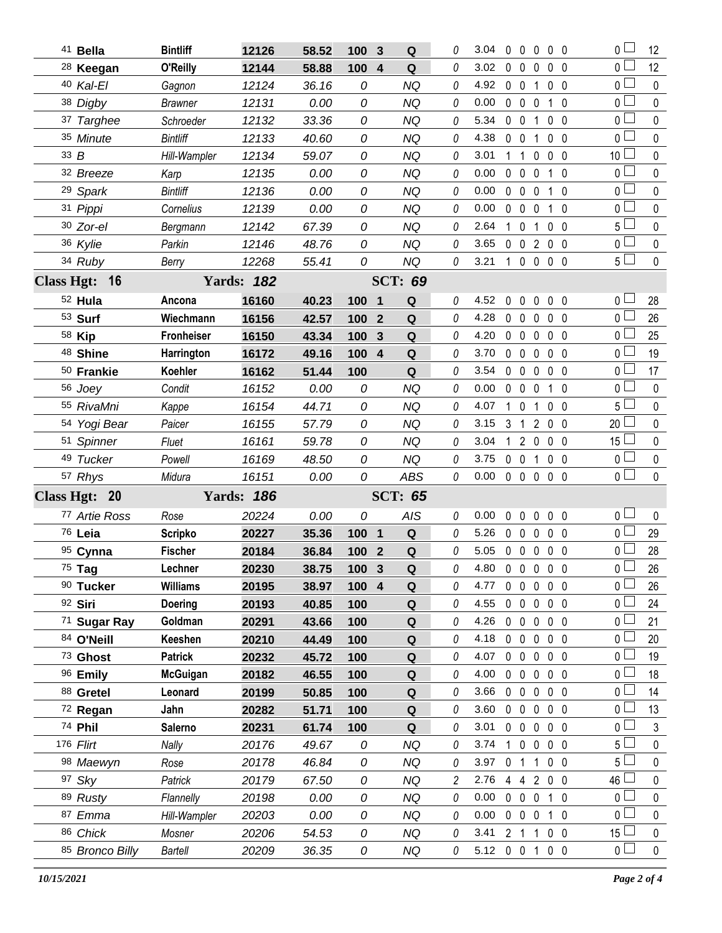| 41 Bella             | <b>Bintliff</b>   | 12126             | 58.52 | 100 3            |                  | Q              | 0        | 3.04                  |                |                   | $0\quad 0\quad 0\quad 0\quad 0$ |                | 0 <sub>1</sub>  | 12          |
|----------------------|-------------------|-------------------|-------|------------------|------------------|----------------|----------|-----------------------|----------------|-------------------|---------------------------------|----------------|-----------------|-------------|
| <sup>28</sup> Keegan | O'Reilly          | 12144             | 58.88 | 100 4            |                  | Q              | 0        | 3.02                  |                | $0\quad 0\quad 0$ |                                 | 0 <sub>0</sub> | 0 <sub>1</sub>  | 12          |
| 40 Kal-El            | Gagnon            | 12124             | 36.16 | 0                |                  | <b>NQ</b>      | 0        | 4.92                  |                | $0 \t0 \t1$       |                                 | 0 <sub>0</sub> | 0 L             | $\mathbf 0$ |
| 38 Digby             | <b>Brawner</b>    | 12131             | 0.00  | 0                |                  | <b>NQ</b>      | 0        | 0.00                  |                | $0\quad 0\quad 0$ |                                 | 1 0            | 0 <sub>0</sub>  | $\mathbf 0$ |
| 37 Targhee           | Schroeder         | 12132             | 33.36 | 0                |                  | <b>NQ</b>      | 0        | 5.34                  |                | $0\quad 0$        | $\mathbf{1}$                    | 0 <sub>0</sub> | 0 L             | 0           |
| 35 Minute            | <b>Bintliff</b>   | 12133             | 40.60 | 0                |                  | <b>NQ</b>      | 0        | 4.38                  |                | $0\quad 0$        | $\mathbf{1}$                    | 0 <sub>0</sub> | 0 <sub>l</sub>  | $\pmb{0}$   |
| 33B                  | Hill-Wampler      | 12134             | 59.07 | 0                |                  | <b>NQ</b>      | 0        | 3.01                  |                | $1\quad1$         | $\mathbf 0$                     | 0 <sub>0</sub> | 10 <sup>1</sup> | 0           |
| 32 Breeze            | Karp              | 12135             | 0.00  | 0                |                  | <b>NQ</b>      | 0        | 0.00                  |                | $0\quad 0\quad 0$ |                                 | 1 0            | 0 <sub>0</sub>  | 0           |
| <sup>29</sup> Spark  | <b>Bintliff</b>   | 12136             | 0.00  | 0                |                  | <b>NQ</b>      | 0        | 0.00                  |                | $0\quad 0\quad 0$ |                                 | $1\quad0$      | 0 L             | 0           |
| 31 Pippi             | Cornelius         | 12139             | 0.00  | 0                |                  | <b>NQ</b>      | 0        | 0.00                  |                | $0\quad 0\quad 0$ |                                 | 1 0            | 0 <sub>0</sub>  | 0           |
| 30 Zor-el            | Bergmann          | 12142             | 67.39 | 0                |                  | <b>NQ</b>      | 0        | 2.64                  |                | $1\quad 0$        | $\mathbf{1}$                    | 0 <sub>0</sub> | 5 l             | 0           |
| 36 Kylie             | Parkin            | 12146             | 48.76 | 0                |                  | <b>NQ</b>      | 0        | 3.65                  |                |                   | 0 0 2 0 0                       |                | 0 <sub>0</sub>  | $\pmb{0}$   |
| 34 Ruby              | Berry             | 12268             | 55.41 | 0                |                  | NQ             | 0        | 3.21                  |                |                   | 1 0 0 0 0                       |                | $5 \perp$       | $\pmb{0}$   |
| Class Hgt: 16        |                   | <b>Yards: 182</b> |       |                  |                  | <b>SCT: 69</b> |          |                       |                |                   |                                 |                |                 |             |
| 52 Hula              | Ancona            | 16160             | 40.23 | 100 1            |                  | Q              | 0        | 4.52                  | $\mathbf 0$    | $\mathbf{0}$      | $\mathbf 0$                     | 0 <sub>0</sub> | 0 <sub>0</sub>  | 28          |
| 53 Surf              | Wiechmann         | 16156             | 42.57 | 100              | $\overline{2}$   | Q              | 0        | 4.28                  |                | $0\quad 0\quad 0$ |                                 | $0\quad 0$     | 0 <sub>0</sub>  | 26          |
| 58 Kip               | <b>Fronheiser</b> | 16150             | 43.34 | 100              | 3                | Q              | 0        | 4.20                  |                |                   | 00000                           |                | 0 <sub>0</sub>  | 25          |
| <sup>48</sup> Shine  | Harrington        | 16172             | 49.16 | 100              | $\overline{4}$   | ${\bf Q}$      | 0        | 3.70                  |                | $0\quad 0\quad 0$ |                                 | $0\quad 0$     | 0 l             | 19          |
| 50 Frankie           | Koehler           | 16162             | 51.44 | 100              |                  | Q              | 0        | 3.54                  |                | $0\quad 0\quad 0$ |                                 | 0 <sub>0</sub> | $0-$            | 17          |
| 56 Joey              | Condit            | 16152             | 0.00  | 0                |                  | <b>NQ</b>      | 0        | 0.00                  |                | $0\quad 0\quad 0$ |                                 | 1 0            | ΟL              | $\mathbf 0$ |
| 55 RivaMni           | Kappe             | 16154             | 44.71 | 0                |                  | <b>NQ</b>      | 0        | 4.07                  |                | $1\quad 0$        | 1                               | $0\quad 0$     | 5 <sub>1</sub>  | $\pmb{0}$   |
| 54 Yogi Bear         | Paicer            | 16155             | 57.79 | 0                |                  | <b>NQ</b>      | 0        | 3.15                  |                |                   | 3 1 2 0 0                       |                | 20 <sup>1</sup> | 0           |
| 51 Spinner           | Fluet             | 16161             | 59.78 | 0                |                  | <b>NQ</b>      | 0        | 3.04                  |                |                   | 1 2 0 0 0                       |                | $15$ $-$        | $\pmb{0}$   |
| 49 Tucker            | Powell            | 16169             | 48.50 | 0                |                  | <b>NQ</b>      | 0        | 3.75                  |                | $0\quad 0$        | 1                               | 0 <sub>0</sub> | 0 L             | $\mathbf 0$ |
| 57 Rhys              | Midura            | 16151             | 0.00  | 0                |                  | ABS            | $\theta$ | 0.00                  |                |                   | 00000                           |                | 0 <sub>0</sub>  | $\mathbf 0$ |
| Class Hgt: 20        |                   | <b>Yards: 186</b> |       |                  |                  | <b>SCT: 65</b> |          |                       |                |                   |                                 |                |                 |             |
| 77 Artie Ross        | Rose              | 20224             | 0.00  | 0                |                  | AIS            | 0        | 0.00                  |                |                   | 00000                           |                | 0 <sub>0</sub>  | $\bf{0}$    |
| 76 Leia              | <b>Scripko</b>    | 20227             | 35.36 | 100 1            |                  | $\mathbf Q$    | 0        | 5.26                  |                |                   | 00000                           |                | 0 <sub>0</sub>  | 29          |
| 95 Cynna             | <b>Fischer</b>    | 20184             | 36.84 | 100 2            |                  | $\mathbf Q$    | 0        | 5.05                  |                |                   | 00000                           |                | 0 l             | 28          |
| 75 Tag               | Lechner           | 20230             | 38.75 | 100 3            |                  | $\mathbf Q$    | 0        | 4.80 0 0 0 0 0        |                |                   |                                 |                | $\overline{0}$  | 26          |
| 90 Tucker            | <b>Williams</b>   | 20195             | 38.97 | 100 <sub>1</sub> | $\boldsymbol{4}$ | Q              | 0        | 4.77                  |                | $0\ 0\ 0$         |                                 | $0\quad 0$     | 0 l             | 26          |
| 92 Siri              | <b>Doering</b>    | 20193             | 40.85 | 100              |                  | Q              | 0        | 4.55                  |                | $0\quad 0\quad 0$ |                                 | 0 <sub>0</sub> | 0 L             | 24          |
| 71 Sugar Ray         | Goldman           | 20291             | 43.66 | 100              |                  | Q              | 0        | 4.26                  |                | $0\quad 0\quad 0$ |                                 | 0 <sub>0</sub> | 0 l             | 21          |
| 84 O'Neill           | Keeshen           | 20210             | 44.49 | 100              |                  | Q              | 0        | 4.18                  |                | $0\quad 0\quad 0$ |                                 | 0 <sub>0</sub> | ΟL              | 20          |
| 73 Ghost             | <b>Patrick</b>    | 20232             | 45.72 | 100              |                  | Q              | 0        | 4.07                  |                | $0\quad 0\quad 0$ |                                 | 0 <sub>0</sub> | 0 l             | 19          |
| 96 Emily             | <b>McGuigan</b>   | 20182             | 46.55 | 100              |                  | Q              | 0        | 4.00                  |                | $0\quad 0\quad 0$ |                                 | 0 <sub>0</sub> | 0 L             | 18          |
| 88 Gretel            | Leonard           | 20199             | 50.85 | 100              |                  | Q              | 0        | 3.66                  |                | $0\quad 0$        | $\mathbf 0$                     | 0 <sub>0</sub> | 0 l             | 14          |
| 72 Regan             | Jahn              | 20282             | 51.71 | 100              |                  | Q              | 0        | 3.60                  |                | $0\quad 0\quad 0$ |                                 | $0\quad 0$     | 0 <sub>0</sub>  | 13          |
| 74 Phil              | Salerno           | 20231             | 61.74 | 100              |                  | Q              | 0        | 3.01                  |                | $0\quad 0\quad 0$ |                                 | 0 <sub>0</sub> | 0 l             | 3           |
| 176 Flirt            | Nally             | 20176             | 49.67 | 0                |                  | <b>NQ</b>      | 0        | 3.74                  |                | $1 0 0$           |                                 | $0\quad 0$     | 5 L             | 0           |
| 98 Maewyn            | Rose              | 20178             | 46.84 | 0                |                  | NQ             | 0        | 3.97                  | 0 <sub>1</sub> |                   | $\mathbf{1}$                    | 0 <sub>0</sub> | 5 l             | 0           |
| 97 Sky               | Patrick           | 20179             | 67.50 | 0                |                  | <b>NQ</b>      | 2        | 2.76                  |                |                   | 4 4 2 0 0                       |                | 46 l            | 0           |
| 89 Rusty             | Flannelly         | 20198             | 0.00  | 0                |                  | NQ             | 0        | 0.00                  |                | $0\quad 0\quad 0$ |                                 | 1 0            | 0 l             | 0           |
| 87 Emma              | Hill-Wampler      | 20203             | 0.00  | 0                |                  | <b>NQ</b>      | 0        | 0.00                  |                | $0\quad 0\quad 0$ |                                 | 1 0            | 0 l             | $\pmb{0}$   |
| 86 Chick             | Mosner            | 20206             | 54.53 | 0                |                  | NQ             | 0        | 3.41                  |                | 2 <sub>1</sub>    | $\mathbf{1}$                    | $0\quad 0$     | 15 <sup>l</sup> | 0           |
| 85 Bronco Billy      | Bartell           | 20209             | 36.35 | 0                |                  | NQ             | 0        | $5.12 \t 0 \t 0 \t 1$ |                |                   |                                 | $0\quad 0$     | 0 <sub>l</sub>  | $\mathbf 0$ |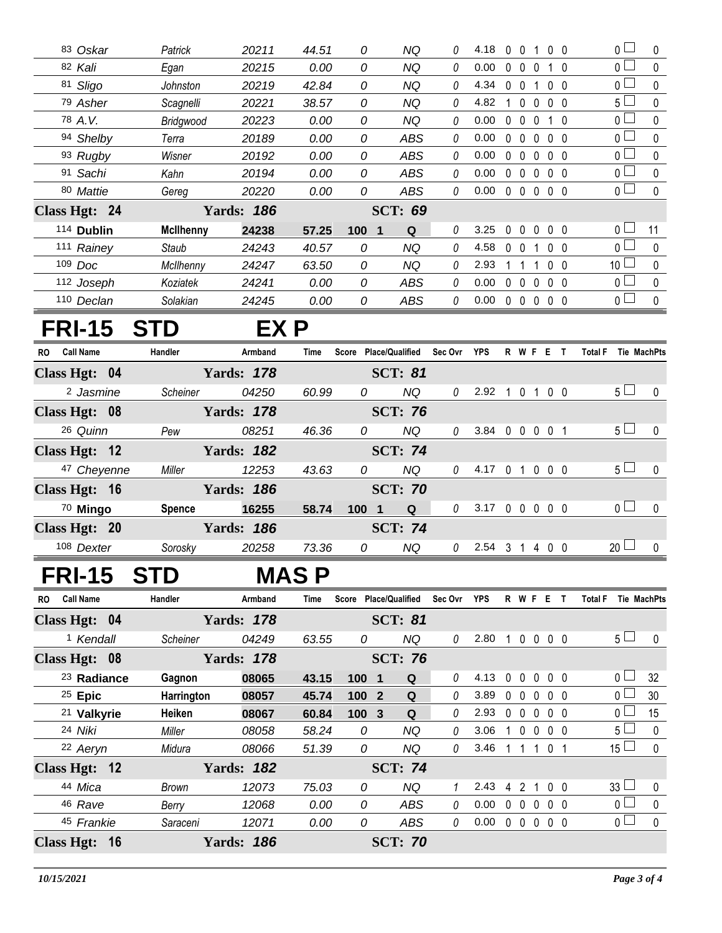| 83 Oskar             | Patrick          | 20211             | 44.51 | 0     | <b>NQ</b>             | 0        | 4.18           | $\mathbf{0}$      | $\mathbf 0$    | $\overline{1}$    | 0 <sub>0</sub> | $\overline{0}$        | 0            |
|----------------------|------------------|-------------------|-------|-------|-----------------------|----------|----------------|-------------------|----------------|-------------------|----------------|-----------------------|--------------|
| 82 Kali              | Egan             | 20215             | 0.00  | 0     | <b>NQ</b>             | 0        | 0.00           |                   |                | 0 0 0 1 0         |                | $\overline{0}$ $\Box$ | 0            |
| 81 Sligo             | Johnston         | 20219             | 42.84 | 0     | <b>NQ</b>             | 0        | 4.34           |                   |                | 0 0 1 0 0         |                | $\overline{0}$        | $\pmb{0}$    |
| 79 Asher             | Scagnelli        | 20221             | 38.57 | 0     | <b>NQ</b>             | 0        | 4.82           |                   |                | 1 0 0 0 0         |                | $5\Box$               | 0            |
| 78 A.V.              | Bridgwood        | 20223             | 0.00  | 0     | <b>NQ</b>             | 0        | 0.00           |                   |                | 0 0 0 1 0         |                | $\overline{0}$        | 0            |
| 94 Shelby            | Terra            | 20189             | 0.00  | 0     | ABS                   | 0        | 0.00           | $0\quad 0$        |                | $\mathbf 0$       | $0\quad 0$     | $\overline{0}$        | $\Omega$     |
| 93 Rugby             | Wisner           | 20192             | 0.00  | 0     | <b>ABS</b>            | 0        | 0.00           | $0\quad 0$        |                | $\mathbf 0$       | $0\quad 0$     | $\overline{0}$        | 0            |
| 91 Sachi             | Kahn             | 20194             | 0.00  | 0     | <b>ABS</b>            | 0        | 0.00           | $0\quad 0$        |                | $0\quad 0\quad 0$ |                | $\overline{0}$        | 0            |
| 80 Mattie            | Gereg            | 20220             | 0.00  | 0     | <b>ABS</b>            | 0        | 0.00           |                   |                | 00000             |                | $\overline{0}$        | $\mathbf 0$  |
| Class Hgt: 24        |                  | <b>Yards: 186</b> |       |       | <b>SCT: 69</b>        |          |                |                   |                |                   |                |                       |              |
| 114 Dublin           | <b>McIlhenny</b> | 24238             | 57.25 | 100 1 | Q                     | 0        | 3.25           |                   |                | $00000$           |                | 0 <sub>0</sub>        | 11           |
| 111 Rainey           | Staub            | 24243             | 40.57 | 0     | <b>NQ</b>             | 0        | 4.58           | $0\quad 0$        |                | $\mathbf{1}$      | 0 <sub>0</sub> | $\overline{0}$        | $\mathbf 0$  |
| 109 Doc              | McIlhenny        | 24247             | 63.50 | 0     | <b>NQ</b>             | $\theta$ | 2.93           | 1                 | $\overline{1}$ | 1                 | $0\quad 0$     | 10 <sup>1</sup>       | 0            |
| 112 Joseph           | Koziatek         | 24241             | 0.00  | 0     | ABS                   | 0        | 0.00           | $0\quad 0\quad 0$ |                |                   | 0 <sub>0</sub> | $\overline{0}$        | $\mathbf 0$  |
| 110 Declan           | Solakian         | 24245             | 0.00  | 0     | ABS                   | $\theta$ | 0.00           |                   |                | $00000$           |                | $\overline{0}$ $\Box$ | $\mathbf 0$  |
|                      |                  |                   |       |       |                       |          |                |                   |                |                   |                |                       |              |
|                      |                  |                   |       |       |                       |          |                |                   |                |                   |                |                       |              |
| <b>FRI-15</b>        | <b>STD</b>       |                   | EX P  |       |                       |          |                |                   |                |                   |                |                       |              |
| RO Call Name         | Handler          | Armband           | Time  |       | Score Place/Qualified | Sec Ovr  | <b>YPS</b>     |                   |                | R W F E T         |                | Total F Tie MachPts   |              |
| Class Hgt: 04        |                  | <b>Yards: 178</b> |       |       | <b>SCT: 81</b>        |          |                |                   |                |                   |                |                       |              |
| <sup>2</sup> Jasmine | Scheiner         | 04250             | 60.99 | 0     | <b>NQ</b>             | 0        | 2.92           |                   |                | 1 0 1 0 0         |                | 5 <sub>1</sub>        | $\mathbf 0$  |
| Class Hgt: 08        |                  | <b>Yards: 178</b> |       |       | <b>SCT: 76</b>        |          |                |                   |                |                   |                |                       |              |
| 26 Quinn             | Pew              | 08251             | 46.36 | 0     | <b>NQ</b>             | 0        | 3.84 0 0 0 0 1 |                   |                |                   |                | 5 <sub>1</sub>        | 0            |
| Class Hgt: 12        |                  | <b>Yards: 182</b> |       |       | <b>SCT: 74</b>        |          |                |                   |                |                   |                |                       |              |
| 47 Cheyenne          | Miller           | 12253             | 43.63 | 0     | <b>NQ</b>             | $\theta$ | 4.17 0 1 0 0 0 |                   |                |                   |                | 5 <sub>1</sub>        | $\mathbf{0}$ |
| Class Hgt: 16        |                  | <b>Yards: 186</b> |       |       | <b>SCT: 70</b>        |          |                |                   |                |                   |                |                       |              |
| 70 Mingo             | <b>Spence</b>    | 16255             | 58.74 | 100 1 | Q                     | 0        | 3.17 0 0 0 0 0 |                   |                |                   |                | 0 <sub>0</sub>        | $\Omega$     |
| Class Hgt: 20        |                  | <b>Yards: 186</b> |       |       | <b>SCT: 74</b>        |          |                |                   |                |                   |                |                       |              |
| 108 Dexter           | Sorosky          | 20258             | 73.36 | 0     | <b>NQ</b>             | 0        | 2.54 3 1 4 0 0 |                   |                |                   |                | $20$ $\Box$           | $\mathbf 0$  |

| <b>Call Name</b><br><b>RO</b> | Handler    | Armband           | Time  | <b>Score</b> | <b>Place/Qualified</b> | Sec Ovr | <b>YPS</b> |          | R W F          |              | Е                 | Total F               | <b>Tie MachPts</b> |
|-------------------------------|------------|-------------------|-------|--------------|------------------------|---------|------------|----------|----------------|--------------|-------------------|-----------------------|--------------------|
| Class Hgt: 04                 |            | <b>Yards: 178</b> |       |              | <b>SCT: 81</b>         |         |            |          |                |              |                   |                       |                    |
| <sup>1</sup> Kendall          | Scheiner   | 04249             | 63.55 | 0            | NQ.                    | 0       | 2.80       | 1        |                | $0\,0\,0\,0$ |                   | 5 <sub>1</sub>        | $\Omega$           |
| Class Hgt: 08                 |            | <b>Yards: 178</b> |       |              | <b>SCT: 76</b>         |         |            |          |                |              |                   |                       |                    |
| <sup>23</sup> Radiance        | Gagnon     | 08065             | 43.15 | 1001         | Q                      | 0       | 4.13       | 0        | $\Omega$       | $\Omega$     | $0\quad 0$        | $\cap$ $\Box$         | 32                 |
| $25$ Epic                     | Harrington | 08057             | 45.74 | 100          | Q<br>$\mathbf{2}$      | 0       | 3.89       | $\Omega$ | $\Omega$       | $\mathsf{O}$ | $0\quad 0$        | 0 <sup>L</sup>        | 30                 |
| <sup>21</sup> Valkyrie        | Heiken     | 08067             | 60.84 | 100          | Q<br>-3                | 0       | 2.93       | $\Omega$ | $\Omega$       | $\Omega$     | $0\quad 0$        | $\cap$ $\Box$         | 15                 |
| 24 Niki                       | Miller     | 08058             | 58.24 | 0            | NQ                     | 0       | 3.06       |          | $\Omega$       | $\Omega$     | $0\quad 0$        | 5 <sub>1</sub>        | $\Omega$           |
| 22 Aeryn                      | Midura     | 08066             | 51.39 | 0            | NQ                     | 0       | 3.46       |          |                |              | 0                 | $15 \Box$             | $\Omega$           |
| Class Hgt: 12                 |            | <b>Yards: 182</b> |       |              | <b>SCT: 74</b>         |         |            |          |                |              |                   |                       |                    |
| 44 Mica                       | Brown      | 12073             | 75.03 | 0            | NQ.                    | 1       | 2.43       | 4        | $\mathcal{P}$  |              | 100               | 33 <sup>1</sup>       | $\Omega$           |
| 46 Rave                       | Berry      | 12068             | 0.00  | 0            | ABS                    | 0       | 0.00       | $\Omega$ | $\overline{0}$ |              | $0\quad 0\quad 0$ | $\overline{0}$ $\Box$ | $\Omega$           |
| 45 Frankie                    | Saraceni   | 12071             | 0.00  | 0            | ABS                    | 0       | 0.00       | $\Omega$ | $\Omega$       | $\Omega$     | $0\quad 0$        | 0 <sub>0</sub>        | $\Omega$           |
| 16<br><b>Class Hgt:</b>       |            | <b>Yards: 186</b> |       |              | <b>SCT: 70</b>         |         |            |          |                |              |                   |                       |                    |